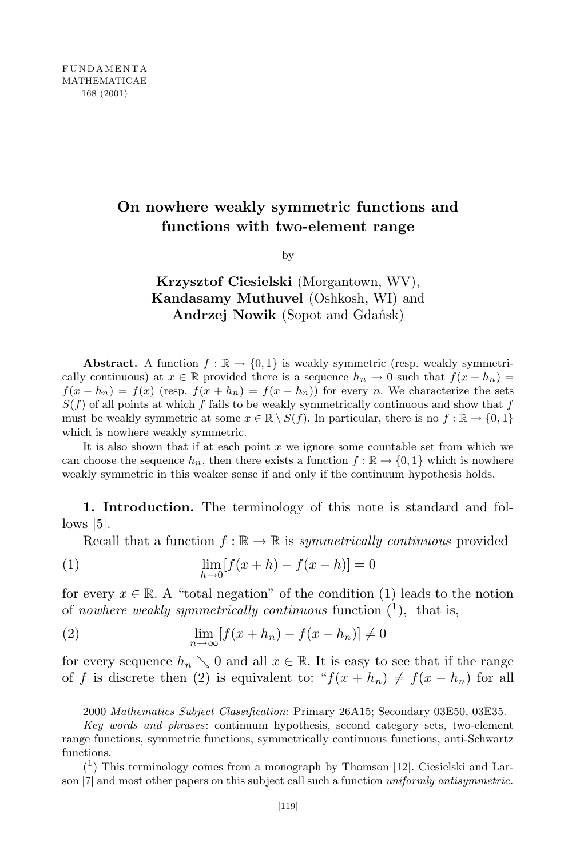## **On nowhere weakly symmetric functions and functions with two-element range**

by

## **Krzysztof Ciesielski** (Morgantown, WV), **Kandasamy Muthuvel** (Oshkosh, WI) and **Andrzej Nowik** (Sopot and Gdańsk)

**Abstract.** A function  $f : \mathbb{R} \to \{0,1\}$  is weakly symmetric (resp. weakly symmetrically continuous) at  $x \in \mathbb{R}$  provided there is a sequence  $h_n \to 0$  such that  $f(x + h_n) =$  $f(x - h_n) = f(x)$  (resp.  $f(x + h_n) = f(x - h_n)$ ) for every *n*. We characterize the sets  $S(f)$  of all points at which *f* fails to be weakly symmetrically continuous and show that *f* must be weakly symmetric at some  $x \in \mathbb{R} \setminus S(f)$ . In particular, there is no  $f : \mathbb{R} \to \{0,1\}$ which is nowhere weakly symmetric.

It is also shown that if at each point *x* we ignore some countable set from which we can choose the sequence  $h_n$ , then there exists a function  $f : \mathbb{R} \to \{0,1\}$  which is nowhere weakly symmetric in this weaker sense if and only if the continuum hypothesis holds.

**1. Introduction.** The terminology of this note is standard and fol $lows$  [5].

Recall that a function  $f : \mathbb{R} \to \mathbb{R}$  is *symmetrically continuous* provided

(1) 
$$
\lim_{h \to 0} [f(x+h) - f(x-h)] = 0
$$

for every  $x \in \mathbb{R}$ . A "total negation" of the condition (1) leads to the notion of *nowhere weakly symmetrically continuous* function ( 1 ), that is,

$$
\lim_{n \to \infty} [f(x + h_n) - f(x - h_n)] \neq 0
$$

for every sequence  $h_n \searrow 0$  and all  $x \in \mathbb{R}$ . It is easy to see that if the range of *f* is discrete then (2) is equivalent to: " $f(x + h_n) \neq f(x - h_n)$  for all

<sup>2000</sup> *Mathematics Subject Classification*: Primary 26A15; Secondary 03E50, 03E35.

*Key words and phrases*: continuum hypothesis, second category sets, two-element range functions, symmetric functions, symmetrically continuous functions, anti-Schwartz functions.

 $(1)$  This terminology comes from a monograph by Thomson [12]. Ciesielski and Larson [7] and most other papers on this subject call such a function *uniformly antisymmetric*.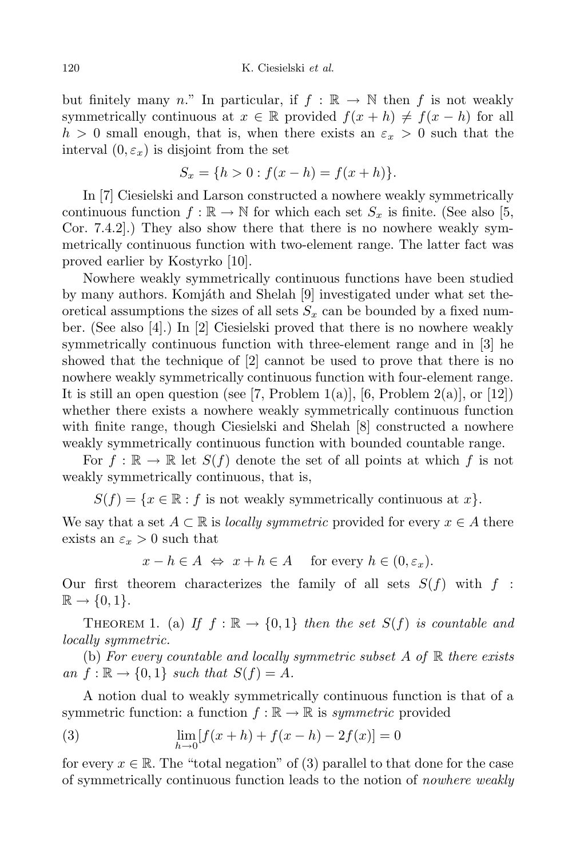but finitely many *n*." In particular, if  $f : \mathbb{R} \to \mathbb{N}$  then f is not weakly symmetrically continuous at  $x \in \mathbb{R}$  provided  $f(x+h) \neq f(x-h)$  for all  $h > 0$  small enough, that is, when there exists an  $\varepsilon_x > 0$  such that the interval  $(0, \varepsilon_x)$  is disjoint from the set

$$
S_x = \{h > 0 : f(x - h) = f(x + h)\}.
$$

In [7] Ciesielski and Larson constructed a nowhere weakly symmetrically continuous function  $f : \mathbb{R} \to \mathbb{N}$  for which each set  $S_x$  is finite. (See also [5, Cor. 7.4.2].) They also show there that there is no nowhere weakly symmetrically continuous function with two-element range. The latter fact was proved earlier by Kostyrko [10].

Nowhere weakly symmetrically continuous functions have been studied by many authors. Komjáth and Shelah  $[9]$  investigated under what set theoretical assumptions the sizes of all sets  $S<sub>x</sub>$  can be bounded by a fixed number. (See also [4].) In [2] Ciesielski proved that there is no nowhere weakly symmetrically continuous function with three-element range and in [3] he showed that the technique of [2] cannot be used to prove that there is no nowhere weakly symmetrically continuous function with four-element range. It is still an open question (see [7, Problem 1(a)], [6, Problem 2(a)], or  $[12]$ ) whether there exists a nowhere weakly symmetrically continuous function with finite range, though Ciesielski and Shelah [8] constructed a nowhere weakly symmetrically continuous function with bounded countable range.

For  $f : \mathbb{R} \to \mathbb{R}$  let  $S(f)$  denote the set of all points at which f is not weakly symmetrically continuous, that is,

 $S(f) = \{x \in \mathbb{R} : f \text{ is not weakly symmetrically continuous at } x\}.$ 

We say that a set  $A \subset \mathbb{R}$  is *locally symmetric* provided for every  $x \in A$  there exists an  $\varepsilon_x > 0$  such that

$$
x - h \in A \iff x + h \in A \quad \text{for every } h \in (0, \varepsilon_x).
$$

Our first theorem characterizes the family of all sets  $S(f)$  with  $f$ :  $\mathbb{R} \to \{0, 1\}.$ 

THEOREM 1. (a) If  $f : \mathbb{R} \to \{0,1\}$  then the set  $S(f)$  is countable and *locally symmetric.*

(b) *For every countable and locally symmetric subset A of* R *there exists*  $an f: \mathbb{R} \to \{0,1\}$  *such that*  $S(f) = A$ *.* 

A notion dual to weakly symmetrically continuous function is that of a symmetric function: a function  $f : \mathbb{R} \to \mathbb{R}$  is *symmetric* provided

(3) 
$$
\lim_{h \to 0} [f(x+h) + f(x-h) - 2f(x)] = 0
$$

for every  $x \in \mathbb{R}$ . The "total negation" of (3) parallel to that done for the case of symmetrically continuous function leads to the notion of *nowhere weakly*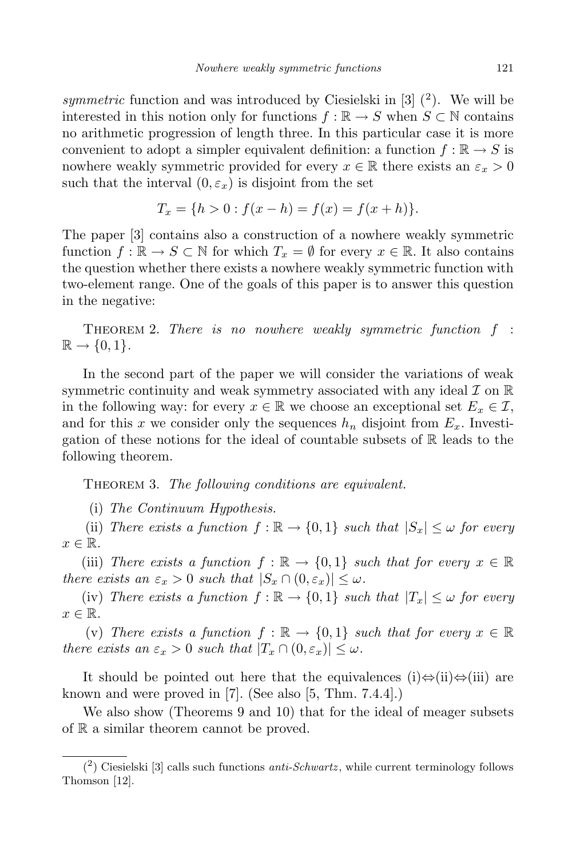symmetric function and was introduced by Ciesielski in  $[3]$   $(2)$ . We will be interested in this notion only for functions  $f : \mathbb{R} \to S$  when  $S \subset \mathbb{N}$  contains no arithmetic progression of length three. In this particular case it is more convenient to adopt a simpler equivalent definition: a function  $f : \mathbb{R} \to S$  is nowhere weakly symmetric provided for every  $x \in \mathbb{R}$  there exists an  $\varepsilon_x > 0$ such that the interval  $(0, \varepsilon_x)$  is disjoint from the set

$$
T_x = \{h > 0 : f(x - h) = f(x) = f(x + h)\}.
$$

The paper [3] contains also a construction of a nowhere weakly symmetric function  $f: \mathbb{R} \to S \subset \mathbb{N}$  for which  $T_x = \emptyset$  for every  $x \in \mathbb{R}$ . It also contains the question whether there exists a nowhere weakly symmetric function with two-element range. One of the goals of this paper is to answer this question in the negative:

Theorem 2. *There is no nowhere weakly symmetric function f* :  $\mathbb{R} \rightarrow \{0,1\}.$ 

In the second part of the paper we will consider the variations of weak symmetric continuity and weak symmetry associated with any ideal *I* on R in the following way: for every  $x \in \mathbb{R}$  we choose an exceptional set  $E_x \in \mathcal{I}$ , and for this x we consider only the sequences  $h_n$  disjoint from  $E_x$ . Investigation of these notions for the ideal of countable subsets of  $\mathbb R$  leads to the following theorem.

Theorem 3. *The following conditions are equivalent.*

(i) *The Continuum Hypothesis.*

(ii) *There exists* a function  $f : \mathbb{R} \to \{0,1\}$  *such* that  $|S_x| \leq \omega$  for *every*  $x \in \mathbb{R}$ .

(iii) *There exists* a *function*  $f : \mathbb{R} \to \{0,1\}$  *such that for every*  $x \in \mathbb{R}$ *there exists an*  $\varepsilon_x > 0$  *such that*  $|S_x \cap (0, \varepsilon_x)| \leq \omega$ *.* 

(iv) *There exists* a function  $f : \mathbb{R} \to \{0,1\}$  *such that*  $|T_x| \leq \omega$  for *every*  $x \in \mathbb{R}$ .

(v) There exists a function  $f : \mathbb{R} \to \{0,1\}$  such that for every  $x \in \mathbb{R}$ *there exists an*  $\varepsilon_x > 0$  *such that*  $|T_x \cap (0, \varepsilon_x)| \leq \omega$ *.* 

It should be pointed out here that the equivalences (i)*⇔*(ii)*⇔*(iii) are known and were proved in [7]. (See also [5, Thm. 7.4.4].)

We also show (Theorems 9 and 10) that for the ideal of meager subsets of R a similar theorem cannot be proved.

<sup>(</sup> 2 ) Ciesielski [3] calls such functions *anti-Schwartz* , while current terminology follows Thomson [12].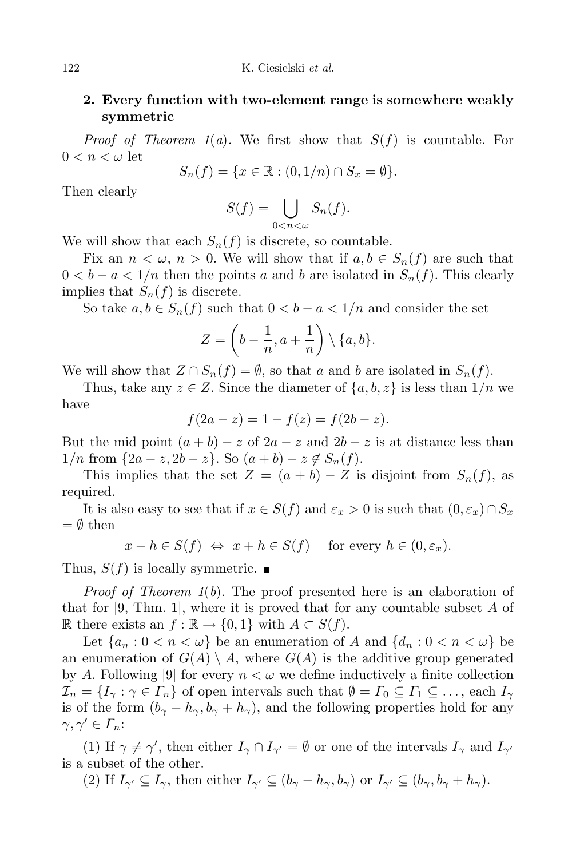## **2. Every function with two-element range is somewhere weakly symmetric**

*Proof of Theorem 1*(*a*)*.* We first show that  $S(f)$  is countable. For  $0 < n < \omega$  let

$$
S_n(f) = \{ x \in \mathbb{R} : (0, 1/n) \cap S_x = \emptyset \}.
$$

Then clearly

$$
S(f) = \bigcup_{0 < n < \omega} S_n(f).
$$

We will show that each  $S_n(f)$  is discrete, so countable.

Fix an  $n < \omega, n > 0$ . We will show that if  $a, b \in S_n(f)$  are such that  $0 < b - a < 1/n$  then the points *a* and *b* are isolated in  $S_n(f)$ . This clearly implies that  $S_n(f)$  is discrete.

So take  $a, b \in S_n(f)$  such that  $0 < b - a < 1/n$  and consider the set

$$
Z = \left(b - \frac{1}{n}, a + \frac{1}{n}\right) \setminus \{a, b\}.
$$

We will show that  $Z \cap S_n(f) = \emptyset$ , so that *a* and *b* are isolated in  $S_n(f)$ .

Thus, take any  $z \in Z$ . Since the diameter of  $\{a, b, z\}$  is less than  $1/n$  we have

$$
f(2a - z) = 1 - f(z) = f(2b - z).
$$

But the mid point  $(a + b) - z$  of  $2a - z$  and  $2b - z$  is at distance less than 1/*n* from  $\{2a - z, 2b - z\}$ . So  $(a + b) - z \notin S_n(f)$ .

This implies that the set  $Z = (a + b) - Z$  is disjoint from  $S_n(f)$ , as required.

It is also easy to see that if  $x \in S(f)$  and  $\varepsilon_x > 0$  is such that  $(0, \varepsilon_x) \cap S_x$ = *∅* then

$$
x - h \in S(f)
$$
  $\Leftrightarrow$   $x + h \in S(f)$  for every  $h \in (0, \varepsilon_x)$ .

Thus,  $S(f)$  is locally symmetric.

*Proof of Theorem 1*(*b*)*.* The proof presented here is an elaboration of that for [9, Thm. 1], where it is proved that for any countable subset *A* of  $\mathbb{R}$  there exists an *f* :  $\mathbb{R}$  → {0, 1} with *A* ⊂ *S*(*f*).

Let  $\{a_n : 0 < n < \omega\}$  be an enumeration of *A* and  $\{d_n : 0 < n < \omega\}$  be an enumeration of  $G(A) \setminus A$ , where  $G(A)$  is the additive group generated by *A*. Following [9] for every  $n < \omega$  we define inductively a finite collection  $\mathcal{I}_n = \{I_\gamma : \gamma \in \Gamma_n\}$  of open intervals such that  $\emptyset = \Gamma_0 \subseteq \Gamma_1 \subseteq \ldots$ , each  $I_\gamma$ is of the form  $(b_{\gamma} - h_{\gamma}, b_{\gamma} + h_{\gamma})$ , and the following properties hold for any  $\gamma, \gamma' \in \Gamma_n$ :

(1) If  $\gamma \neq \gamma'$ , then either  $I_{\gamma} \cap I_{\gamma'} = \emptyset$  or one of the intervals  $I_{\gamma}$  and  $I_{\gamma'}$ is a subset of the other.

(2) If  $I_{\gamma'} \subseteq I_{\gamma}$ , then either  $I_{\gamma'} \subseteq (b_{\gamma} - h_{\gamma}, b_{\gamma})$  or  $I_{\gamma'} \subseteq (b_{\gamma}, b_{\gamma} + h_{\gamma})$ .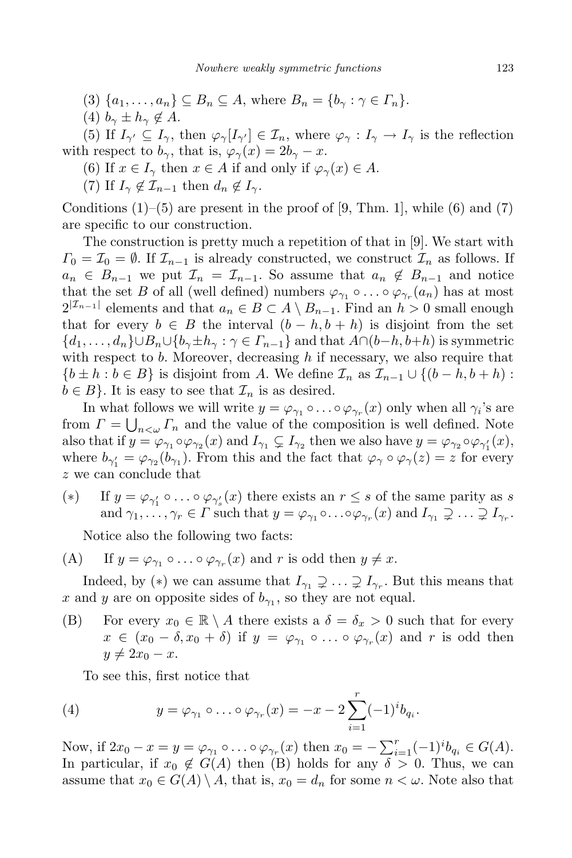- (3)  $\{a_1, \ldots, a_n\} \subseteq B_n \subseteq A$ , where  $B_n = \{b_\gamma : \gamma \in \Gamma_n\}.$
- $(4)$   $b_{\gamma} \pm h_{\gamma} \notin A$ .

(5) If  $I_{\gamma'} \subseteq I_{\gamma}$ , then  $\varphi_{\gamma}[I_{\gamma'}] \in \mathcal{I}_n$ , where  $\varphi_{\gamma} : I_{\gamma} \to I_{\gamma}$  is the reflection with respect to  $b_{\gamma}$ , that is,  $\varphi_{\gamma}(x) = 2b_{\gamma} - x$ .

- (6) If  $x \in I_\gamma$  then  $x \in A$  if and only if  $\varphi_\gamma(x) \in A$ .
- (7) If  $I_{\gamma} \notin \mathcal{I}_{n-1}$  then  $d_n \notin I_{\gamma}$ .

Conditions  $(1)$ – $(5)$  are present in the proof of [9, Thm. 1], while  $(6)$  and  $(7)$ are specific to our construction.

The construction is pretty much a repetition of that in [9]. We start with  $\Gamma_0 = \mathcal{I}_0 = \emptyset$ . If  $\mathcal{I}_{n-1}$  is already constructed, we construct  $\mathcal{I}_n$  as follows. If  $a_n \in B_{n-1}$  we put  $\mathcal{I}_n = \mathcal{I}_{n-1}$ . So assume that  $a_n \notin B_{n-1}$  and notice that the set *B* of all (well defined) numbers  $\varphi_{\gamma_1} \circ \ldots \circ \varphi_{\gamma_r}(a_n)$  has at most  $2^{|I_{n-1}|}$  elements and that  $a_n \in B \subset A \setminus B_{n-1}$ . Find an *h* > 0 small enough that for every  $b \in B$  the interval  $(b - h, b + h)$  is disjoint from the set  ${d_1,\ldots,d_n\}\cup B_n\cup {b_\gamma\pm h_\gamma:\gamma\in\Gamma_{n-1}}$  and that  $A\cap(b-h,b+h)$  is symmetric with respect to *b*. Moreover, decreasing *h* if necessary, we also require that  ${b \pm h : b \in B}$  is disjoint from *A*. We define  $\mathcal{I}_n$  as  $\mathcal{I}_{n-1} \cup \{(b-h, b+h):$  $b \in B$ . It is easy to see that  $\mathcal{I}_n$  is as desired.

In what follows we will write  $y = \varphi_{\gamma_1} \circ \dots \circ \varphi_{\gamma_r}(x)$  only when all  $\gamma_i$ 's are from  $\Gamma = \bigcup_{n<\omega} \Gamma_n$  and the value of the composition is well defined. Note also that if  $y = \varphi_{\gamma_1} \circ \varphi_{\gamma_2}(x)$  and  $I_{\gamma_1} \subsetneq I_{\gamma_2}$  then we also have  $y = \varphi_{\gamma_2} \circ \varphi_{\gamma'_1}(x)$ , where  $b_{\gamma'_1} = \varphi_{\gamma_2}(b_{\gamma_1})$ . From this and the fact that  $\varphi_{\gamma} \circ \varphi_{\gamma}(z) = z$  for every *z* we can conclude that

(\*) If  $y = \varphi_{\gamma'_1} \circ \ldots \circ \varphi_{\gamma'_s}(x)$  there exists an  $r \leq s$  of the same parity as *s* and  $\gamma_1, \ldots, \gamma_r \in \Gamma$  such that  $y = \varphi_{\gamma_1} \circ \ldots \circ \varphi_{\gamma_r}(x)$  and  $I_{\gamma_1} \supsetneq \ldots \supsetneq I_{\gamma_r}$ .

Notice also the following two facts:

(A) If  $y = \varphi_{\gamma_1} \circ \ldots \circ \varphi_{\gamma_r}(x)$  and  $r$  is odd then  $y \neq x$ .

Indeed, by (\*) we can assume that  $I_{\gamma_1} \supsetneq \ldots \supsetneq I_{\gamma_r}$ . But this means that *x* and *y* are on opposite sides of  $b_{\gamma_1}$ , so they are not equal.

(B) For every  $x_0 \in \mathbb{R} \setminus A$  there exists a  $\delta = \delta_x > 0$  such that for every  $x \in (x_0 - \delta, x_0 + \delta)$  if  $y = \varphi_{\gamma_1} \circ \ldots \circ \varphi_{\gamma_r}(x)$  and *r* is odd then  $y \neq 2x_0 - x$ .

To see this, first notice that

(4) 
$$
y = \varphi_{\gamma_1} \circ \ldots \circ \varphi_{\gamma_r}(x) = -x - 2 \sum_{i=1}^r (-1)^i b_{q_i}.
$$

Now, if  $2x_0 - x = y = \varphi_{\gamma_1} \circ \dots \circ \varphi_{\gamma_r}(x)$  then  $x_0 = -\sum_{i=1}^r (-1)^i b_{q_i} \in G(A)$ . In particular, if  $x_0 \notin G(A)$  then (B) holds for any  $\delta > 0$ . Thus, we can assume that  $x_0 \in G(A) \setminus A$ , that is,  $x_0 = d_n$  for some  $n < \omega$ . Note also that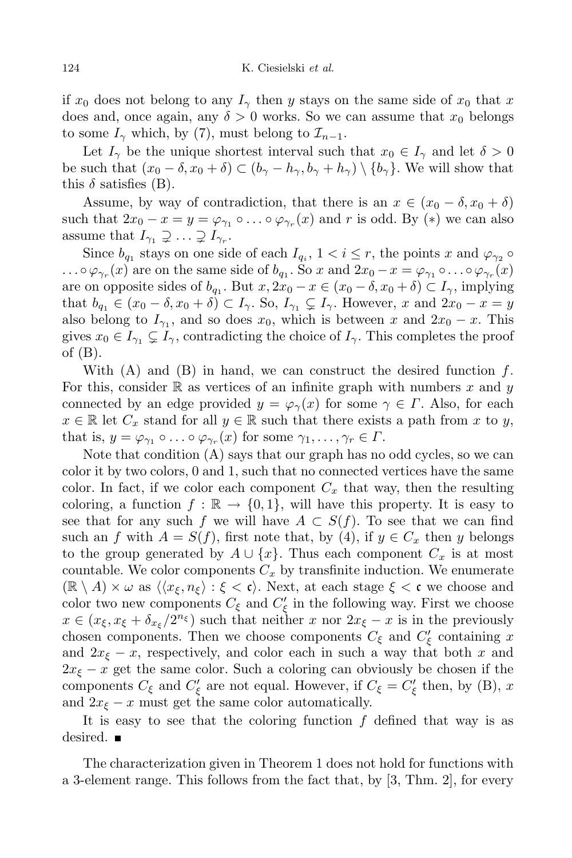if  $x_0$  does not belong to any  $I_\gamma$  then *y* stays on the same side of  $x_0$  that x does and, once again, any  $\delta > 0$  works. So we can assume that  $x_0$  belongs to some  $I_\gamma$  which, by (7), must belong to  $\mathcal{I}_{n-1}$ .

Let  $I_\gamma$  be the unique shortest interval such that  $x_0 \in I_\gamma$  and let  $\delta > 0$ be such that  $(x_0 - \delta, x_0 + \delta) \subset (b_\gamma - b_\gamma, b_\gamma + b_\gamma) \setminus \{b_\gamma\}$ . We will show that this  $\delta$  satisfies (B).

Assume, by way of contradiction, that there is an  $x \in (x_0 - \delta, x_0 + \delta)$ such that  $2x_0 - x = y = \varphi_{\gamma_1} \circ \dots \circ \varphi_{\gamma_r}(x)$  and *r* is odd. By (\*) we can also assume that  $I_{\gamma_1} \supsetneq \ldots \supsetneq I_{\gamma_r}$ .

Since  $b_{q_1}$  stays on one side of each  $I_{q_i}$ ,  $1 < i \leq r$ , the points *x* and  $\varphi_{\gamma_2} \circ$  $\ldots \circ \varphi_{\gamma_r}(x)$  are on the same side of  $b_{q_1}$ . So x and  $2x_0 - x = \varphi_{\gamma_1} \circ \ldots \circ \varphi_{\gamma_r}(x)$ are on opposite sides of  $b_{q_1}$ . But  $x, 2x_0 - x \in (x_0 - \delta, x_0 + \delta) \subset I_{\gamma}$ , implying that  $b_{q_1} \in (x_0 - \delta, x_0 + \delta) \subset I_{\gamma}$ . So,  $I_{\gamma_1} \subsetneq I_{\gamma}$ . However, *x* and  $2x_0 - x = y$ also belong to  $I_{\gamma_1}$ , and so does  $x_0$ , which is between  $x$  and  $2x_0 - x$ . This gives  $x_0 \in I_{\gamma_1} \subsetneq I_{\gamma}$ , contradicting the choice of  $I_{\gamma}$ . This completes the proof of (B).

With (A) and (B) in hand, we can construct the desired function *f*. For this, consider  $\mathbb R$  as vertices of an infinite graph with numbers  $x$  and  $y$ connected by an edge provided  $y = \varphi_{\gamma}(x)$  for some  $\gamma \in \Gamma$ . Also, for each  $x \in \mathbb{R}$  let  $C_x$  stand for all  $y \in \mathbb{R}$  such that there exists a path from *x* to *y*, that is,  $y = \varphi_{\gamma_1} \circ \ldots \circ \varphi_{\gamma_r}(x)$  for some  $\gamma_1, \ldots, \gamma_r \in \Gamma$ .

Note that condition (A) says that our graph has no odd cycles, so we can color it by two colors, 0 and 1, such that no connected vertices have the same color. In fact, if we color each component  $C_x$  that way, then the resulting coloring, a function  $f : \mathbb{R} \to \{0,1\}$ , will have this property. It is easy to see that for any such *f* we will have  $A \subset S(f)$ . To see that we can find such an *f* with  $A = S(f)$ , first note that, by (4), if  $y \in C_x$  then *y* belongs to the group generated by  $A \cup \{x\}$ . Thus each component  $C_x$  is at most countable. We color components  $C_x$  by transfinite induction. We enumerate  $(\mathbb{R} \setminus A) \times \omega$  as  $\langle \langle x_{\xi}, n_{\xi} \rangle : \xi < \mathfrak{c} \rangle$ . Next, at each stage  $\xi < \mathfrak{c}$  we choose and color two new components  $C_{\xi}$  and  $C'_{\xi}$  in the following way. First we choose  $x \in (x_{\xi}, x_{\xi} + \delta_{x_{\xi}}/2^{n_{\xi}})$  such that neither *x* nor  $2x_{\xi} - x$  is in the previously chosen components. Then we choose components  $C_{\xi}$  and  $C'_{\xi}$  containing *x* and  $2x_{\xi}$  – *x*, respectively, and color each in such a way that both *x* and  $2x_{\xi}$  – *x* get the same color. Such a coloring can obviously be chosen if the components  $C_{\xi}$  and  $C'_{\xi}$  are not equal. However, if  $C_{\xi} = C'_{\xi}$  then, by (B), *x* and  $2x_{\xi}$  – *x* must get the same color automatically.

It is easy to see that the coloring function *f* defined that way is as desired. ■

The characterization given in Theorem 1 does not hold for functions with a 3-element range. This follows from the fact that, by [3, Thm. 2], for every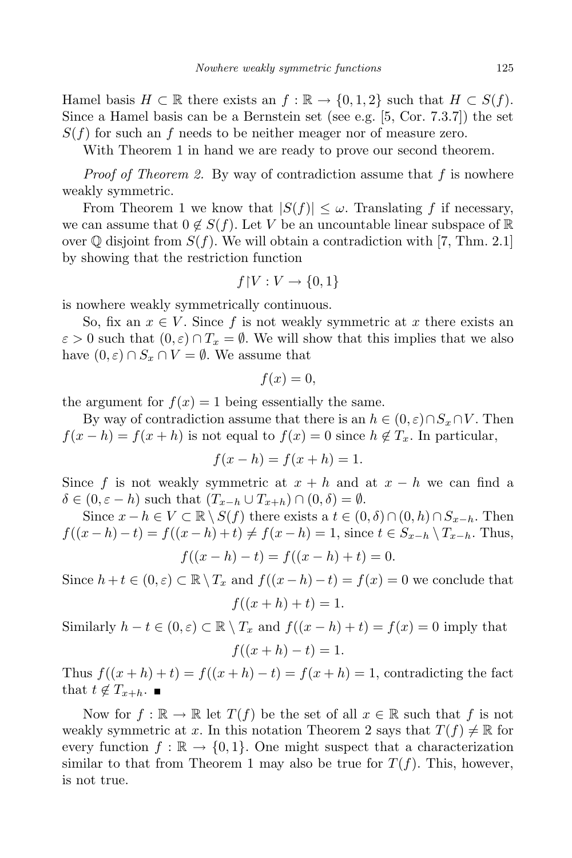Hamel basis  $H \subset \mathbb{R}$  there exists an  $f : \mathbb{R} \to \{0, 1, 2\}$  such that  $H \subset S(f)$ . Since a Hamel basis can be a Bernstein set (see e.g. [5, Cor. 7.3.7]) the set  $S(f)$  for such an *f* needs to be neither meager nor of measure zero.

With Theorem 1 in hand we are ready to prove our second theorem.

*Proof of Theorem 2.* By way of contradiction assume that *f* is nowhere weakly symmetric.

From Theorem 1 we know that  $|S(f)| \leq \omega$ . Translating f if necessary, we can assume that  $0 \notin S(f)$ . Let *V* be an uncountable linear subspace of R over  $\mathbb Q$  disjoint from  $S(f)$ . We will obtain a contradiction with [7, Thm. 2.1] by showing that the restriction function

$$
f \restriction V : V \to \{0, 1\}
$$

is nowhere weakly symmetrically continuous.

So, fix an  $x \in V$ . Since f is not weakly symmetric at x there exists an  $\varepsilon > 0$  such that  $(0, \varepsilon) \cap T_x = \emptyset$ . We will show that this implies that we also have  $(0, \varepsilon) \cap S_x \cap V = \emptyset$ . We assume that

$$
f(x) = 0,
$$

the argument for  $f(x) = 1$  being essentially the same.

By way of contradiction assume that there is an  $h \in (0, \varepsilon) \cap S_x \cap V$ . Then  $f(x-h) = f(x+h)$  is not equal to  $f(x) = 0$  since  $h \notin T_x$ . In particular,

$$
f(x-h) = f(x+h) = 1.
$$

Since f is not weakly symmetric at  $x + h$  and at  $x - h$  we can find a  $\delta \in (0, \varepsilon - h)$  such that  $(T_{x-h} \cup T_{x+h}) \cap (0, \delta) = \emptyset$ .

Since  $x - h \in V \subset \mathbb{R} \setminus S(f)$  there exists a  $t \in (0, \delta) \cap (0, h) \cap S_{x-h}$ . Then  $f((x-h)-t) = f((x-h)+t) \neq f(x-h) = 1$ , since  $t \in S_{x-h} \setminus T_{x-h}$ . Thus,

$$
f((x - h) - t) = f((x - h) + t) = 0.
$$

Since  $h + t \in (0, \varepsilon) \subset \mathbb{R} \setminus T_x$  and  $f((x - h) - t) = f(x) = 0$  we conclude that  $f((x+h)+t) = 1.$ 

Similarly  $h - t \in (0, \varepsilon) \subset \mathbb{R} \setminus T_x$  and  $f((x - h) + t) = f(x) = 0$  imply that  $f((x+h)-t)=1.$ 

Thus  $f((x+h)+t) = f((x+h)-t) = f(x+h) = 1$ , contradicting the fact that  $t \notin T_{x+h}$ .

Now for  $f : \mathbb{R} \to \mathbb{R}$  let  $T(f)$  be the set of all  $x \in \mathbb{R}$  such that f is not weakly symmetric at x. In this notation Theorem 2 says that  $T(f) \neq \mathbb{R}$  for every function  $f : \mathbb{R} \to \{0,1\}$ . One might suspect that a characterization similar to that from Theorem 1 may also be true for  $T(f)$ . This, however, is not true.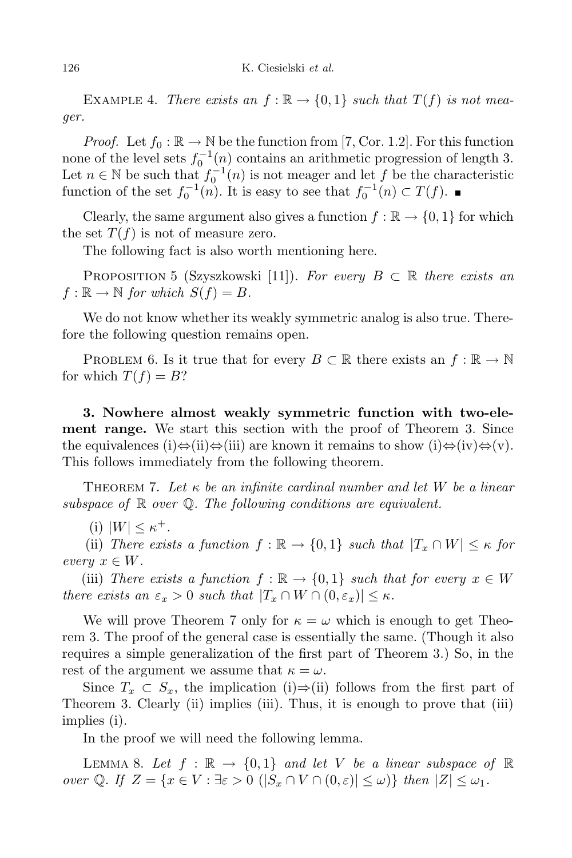EXAMPLE 4. *There exists* an  $f : \mathbb{R} \to \{0,1\}$  *such* that  $T(f)$  *is not meager.*

*Proof.* Let  $f_0 : \mathbb{R} \to \mathbb{N}$  be the function from [7, Cor. 1.2]. For this function none of the level sets  $f_0^{-1}(n)$  contains an arithmetic progression of length 3. Let  $n \in \mathbb{N}$  be such that  $f_0^{-1}(n)$  is not meager and let  $f$  be the characteristic function of the set  $f_0^{-1}(n)$ . It is easy to see that  $f_0^{-1}(n) \subset T(f)$ .

Clearly, the same argument also gives a function  $f : \mathbb{R} \to \{0, 1\}$  for which the set  $T(f)$  is not of measure zero.

The following fact is also worth mentioning here.

PROPOSITION 5 (Szyszkowski [11]). *For every*  $B \subset \mathbb{R}$  *there exists an*  $f: \mathbb{R} \to \mathbb{N}$  *for which*  $S(f) = B$ *.* 

We do not know whether its weakly symmetric analog is also true. Therefore the following question remains open.

PROBLEM 6. Is it true that for every  $B \subset \mathbb{R}$  there exists an  $f : \mathbb{R} \to \mathbb{N}$ for which  $T(f) = B$ ?

**3. Nowhere almost weakly symmetric function with two-element range.** We start this section with the proof of Theorem 3. Since the equivalences (i)*⇔*(ii)*⇔*(iii) are known it remains to show (i)*⇔*(iv)*⇔*(v). This follows immediately from the following theorem.

Theorem 7. *Let κ be an infinite cardinal number and let W be a linear subspace of* R *over* Q*. The following conditions are equivalent.*

 $\mathcal{L}(\text{i}) |W| \leq \kappa^+.$ 

(ii) *There exists* a *function*  $f : \mathbb{R} \to \{0,1\}$  *such that*  $|T_x \cap W| \leq \kappa$  *for*  $every \; x \in W$ .

(iii) *There exists* a *function*  $f : \mathbb{R} \to \{0,1\}$  *such that for every*  $x \in W$ *there exists* an  $\varepsilon_x > 0$  *such that*  $|T_x \cap W \cap (0, \varepsilon_x)| \leq \kappa$ .

We will prove Theorem 7 only for  $\kappa = \omega$  which is enough to get Theorem 3. The proof of the general case is essentially the same. (Though it also requires a simple generalization of the first part of Theorem 3.) So, in the rest of the argument we assume that  $\kappa = \omega$ .

Since  $T_x \subset S_x$ , the implication (i) $\Rightarrow$ (ii) follows from the first part of Theorem 3. Clearly (ii) implies (iii). Thus, it is enough to prove that (iii) implies (i).

In the proof we will need the following lemma.

LEMMA 8. Let  $f : \mathbb{R} \to \{0,1\}$  and let V be a linear subspace of  $\mathbb{R}$ over Q. If  $Z = \{x \in V : \exists \varepsilon > 0 \ (|S_x \cap V \cap (0, \varepsilon)| \leq \omega)\}\$  then  $|Z| \leq \omega_1$ .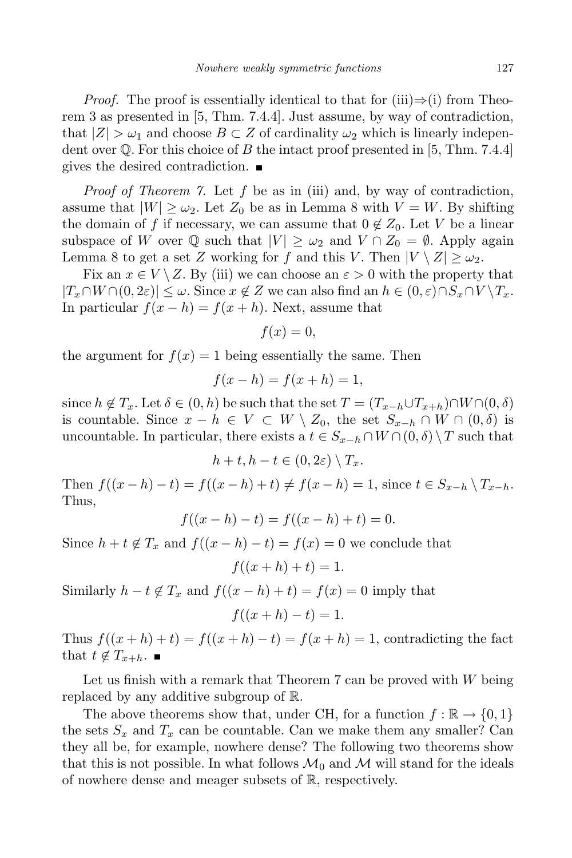*Proof.* The proof is essentially identical to that for (iii) $\Rightarrow$ (i) from Theorem 3 as presented in [5, Thm. 7.4.4]. Just assume, by way of contradiction, that  $|Z| > \omega_1$  and choose  $B \subset Z$  of cardinality  $\omega_2$  which is linearly independent over  $\mathbb Q$ . For this choice of *B* the intact proof presented in [5, Thm. 7.4.4] gives the desired contradiction.

*Proof of Theorem 7.* Let *f* be as in (iii) and, by way of contradiction, assume that  $|W| \geq \omega_2$ . Let  $Z_0$  be as in Lemma 8 with  $V = W$ . By shifting the domain of *f* if necessary, we can assume that  $0 \notin Z_0$ . Let *V* be a linear subspace of *W* over  $\mathbb{Q}$  such that  $|V| \geq \omega_2$  and  $V \cap Z_0 = \emptyset$ . Apply again Lemma 8 to get a set *Z* working for *f* and this *V*. Then  $|V \setminus Z| \geq \omega_2$ .

Fix an  $x \in V \setminus Z$ . By (iii) we can choose an  $\varepsilon > 0$  with the property that  $|T_x \cap W \cap (0, 2\varepsilon)| \leq \omega$ . Since  $x \notin Z$  we can also find an  $h \in (0, \varepsilon) \cap S_x \cap V \setminus T_x$ . In particular  $f(x - h) = f(x + h)$ . Next, assume that

$$
f(x) = 0,
$$

the argument for  $f(x) = 1$  being essentially the same. Then

$$
f(x-h) = f(x+h) = 1,
$$

since  $h \notin T_x$ . Let  $\delta \in (0, h)$  be such that the set  $T = (T_{x-h} \cup T_{x+h}) \cap W \cap (0, \delta)$ is countable. Since  $x - h \in V \subset W \setminus Z_0$ , the set  $S_{x-h} \cap W \cap (0, \delta)$  is uncountable. In particular, there exists a  $t \in S_{x-h} \cap W \cap (0, \delta) \setminus T$  such that

$$
h+t, h-t \in (0, 2\varepsilon) \setminus T_x.
$$

Then  $f((x-h)-t) = f((x-h)+t) \neq f(x-h) = 1$ , since  $t \in S_{x-h} \setminus T_{x-h}$ . Thus,

$$
f((x - h) - t) = f((x - h) + t) = 0.
$$

Since  $h + t \notin T_x$  and  $f((x - h) - t) = f(x) = 0$  we conclude that

$$
f((x+h)+t) = 1.
$$

Similarly  $h - t \notin T_x$  and  $f((x - h) + t) = f(x) = 0$  imply that

$$
f((x+h)-t)=1.
$$

Thus  $f((x+h)+t) = f((x+h)-t) = f(x+h) = 1$ , contradicting the fact that  $t \notin T_{x+h}$ .

Let us finish with a remark that Theorem 7 can be proved with *W* being replaced by any additive subgroup of R.

The above theorems show that, under CH, for a function  $f : \mathbb{R} \to \{0, 1\}$ the sets  $S_x$  and  $T_x$  can be countable. Can we make them any smaller? Can they all be, for example, nowhere dense? The following two theorems show that this is not possible. In what follows  $\mathcal{M}_0$  and  $\mathcal{M}$  will stand for the ideals of nowhere dense and meager subsets of R, respectively.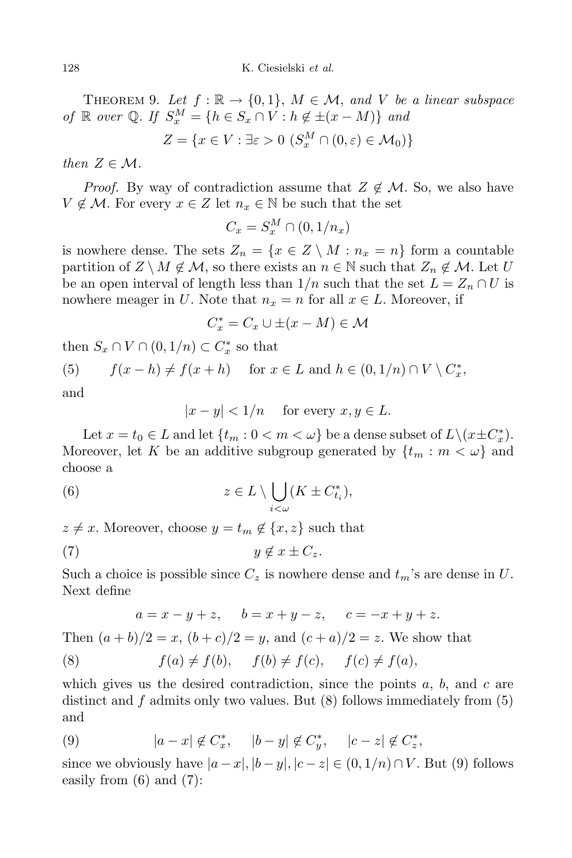THEOREM 9. Let  $f : \mathbb{R} \to \{0,1\}$ ,  $M \in \mathcal{M}$ , and V be a linear subspace  $of \mathbb{R}$  *over*  $\mathbb{Q}$ *. If*  $S_x^M = \{h \in S_x \cap V : h \notin \pm(x - M)\}$  *and* 

$$
Z = \{x \in V : \exists \varepsilon > 0 \ (S_x^M \cap (0, \varepsilon) \in \mathcal{M}_0)\}
$$

*then*  $Z \in \mathcal{M}$ *.* 

*Proof.* By way of contradiction assume that  $Z \notin M$ . So, we also have *V* ∉ *M*. For every  $x \in Z$  let  $n_x \in \mathbb{N}$  be such that the set

$$
C_x = S_x^M \cap (0, 1/n_x)
$$

is nowhere dense. The sets  $Z_n = \{x \in Z \setminus M : n_x = n\}$  form a countable partition of  $Z \setminus M \notin \mathcal{M}$ , so there exists an  $n \in \mathbb{N}$  such that  $Z_n \notin \mathcal{M}$ . Let *U* be an open interval of length less than  $1/n$  such that the set  $L = Z_n \cap U$  is nowhere meager in *U*. Note that  $n_x = n$  for all  $x \in L$ . Moreover, if

$$
C_x^* = C_x \cup \pm (x - M) \in \mathcal{M}
$$

then  $S_x \cap V \cap (0, 1/n) \subset C_x^*$  so that

(5) 
$$
f(x-h) \neq f(x+h) \quad \text{for } x \in L \text{ and } h \in (0,1/n) \cap V \setminus C_x^*,
$$

and

 $|x - y| < 1/n$  for every  $x, y \in L$ .

Let  $x = t_0 \in L$  and let  $\{t_m : 0 < m < \omega\}$  be a dense subset of  $L \setminus (x \pm C_x^*)$ . Moreover, let *K* be an additive subgroup generated by  $\{t_m : m < \omega\}$  and choose a

(6) 
$$
z \in L \setminus \bigcup_{i < \omega} (K \pm C_{t_i}^*),
$$

 $z \neq x$ . Moreover, choose  $y = t_m \notin \{x, z\}$  such that

$$
(7) \t\t y \notin x \pm C_z.
$$

Such a choice is possible since  $C_z$  is nowhere dense and  $t_m$ 's are dense in  $U$ . Next define

 $a = x - y + z$ ,  $b = x + y - z$ ,  $c = -x + y + z$ .

Then  $(a + b)/2 = x$ ,  $(b + c)/2 = y$ , and  $(c + a)/2 = z$ . We show that

(8) 
$$
f(a) \neq f(b), \quad f(b) \neq f(c), \quad f(c) \neq f(a),
$$

which gives us the desired contradiction, since the points *a*, *b*, and *c* are distinct and *f* admits only two values. But (8) follows immediately from (5) and

(9) 
$$
|a-x| \notin C_x^*,
$$
  $|b-y| \notin C_y^*,$   $|c-z| \notin C_z^*,$ 

since we obviously have  $|a-x|, |b-y|, |c-z| \in (0, 1/n) \cap V$ . But (9) follows easily from (6) and (7):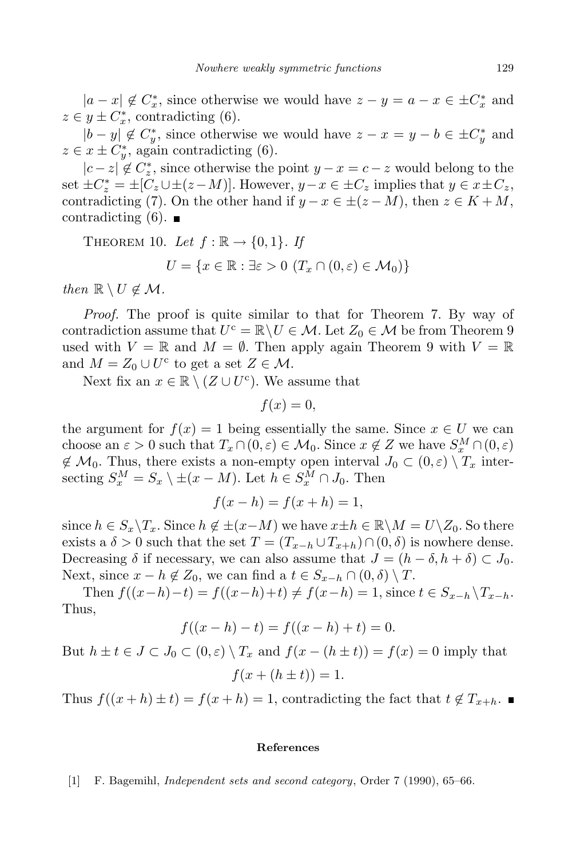$|a - x| \notin C^*$ , since otherwise we would have  $z - y = a - x \in \pm C^*$  and  $z \in y \pm C_x^*$ , contradicting (6).

 $|b - y| \notin C^*$ , since otherwise we would have  $z - x = y - b \in \pm C^*$  and  $z \in x \pm C_y^*$ , again contradicting (6).

*|c* − *z|*  $\notin C_z^*$ , since otherwise the point *y* − *x* = *c* − *z* would belong to the set  $\pm C_z^* = \pm [C_z \cup \pm (z-M)]$ . However,  $y-x \in \pm C_z$  implies that  $y \in x \pm C_z$ , contradicting (7). On the other hand if  $y - x \in \pm (z - M)$ , then  $z \in K + M$ , contradicting  $(6)$ .

THEOREM 10. Let  $f : \mathbb{R} \to \{0, 1\}$ . If

$$
U = \{x \in \mathbb{R} : \exists \varepsilon > 0 \ (T_x \cap (0, \varepsilon) \in \mathcal{M}_0)\}\
$$

*then*  $\mathbb{R} \setminus U \notin \mathcal{M}$ .

*Proof.* The proof is quite similar to that for Theorem 7. By way of contradiction assume that  $U^c = \mathbb{R} \setminus U \in \mathcal{M}$ . Let  $Z_0 \in \mathcal{M}$  be from Theorem 9 used with  $V = \mathbb{R}$  and  $M = \emptyset$ . Then apply again Theorem 9 with  $V = \mathbb{R}$ and  $M = Z_0 \cup U^c$  to get a set  $Z \in \mathcal{M}$ .

Next fix an  $x \in \mathbb{R} \setminus (Z \cup U^c)$ . We assume that

$$
f(x) = 0,
$$

the argument for  $f(x) = 1$  being essentially the same. Since  $x \in U$  we can choose an  $\varepsilon > 0$  such that  $T_x \cap (0, \varepsilon) \in \mathcal{M}_0$ . Since  $x \notin Z$  we have  $S_x^M \cap (0, \varepsilon)$  $\notin \mathcal{M}_0$ . Thus, there exists a non-empty open interval  $J_0 \subset (0,\varepsilon) \setminus T_x$  intersecting  $S_x^M = S_x \setminus \pm (x - M)$ . Let  $h \in S_x^M \cap J_0$ . Then

$$
f(x-h) = f(x+h) = 1,
$$

since  $h \in S_x \backslash T_x$ . Since  $h \notin \pm(x-M)$  we have  $x \pm h \in \mathbb{R} \backslash M = U \backslash Z_0$ . So there exists a  $\delta > 0$  such that the set  $T = (T_{x-h} \cup T_{x+h}) \cap (0, \delta)$  is nowhere dense. Decreasing  $\delta$  if necessary, we can also assume that  $J = (h - \delta, h + \delta) \subset J_0$ . Next, since  $x - h \notin Z_0$ , we can find a  $t \in S_{x-h} \cap (0, \delta) \setminus T$ .

Then  $f((x-h)-t) = f((x-h)+t) \neq f(x-h) = 1$ , since  $t \in S_{x-h} \backslash T_{x-h}$ . Thus,

$$
f((x - h) - t) = f((x - h) + t) = 0.
$$

But  $h \pm t \in J \subset J_0 \subset (0,\varepsilon) \setminus T_x$  and  $f(x-(h \pm t)) = f(x) = 0$  imply that  $f(x + (h \pm t)) = 1.$ 

Thus  $f((x+h) \pm t) = f(x+h) = 1$ , contradicting the fact that  $t \notin T_{x+h}$ .

## **References**

[1] F. Bagemihl, *Independent sets and second category*, Order 7 (1990), 65–66.